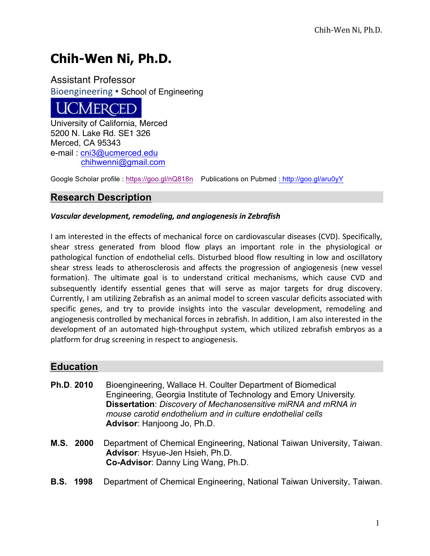# **Chih-Wen Ni, Ph.D.**

Assistant Professor Bioengineering . School of Engineering



University of California, Merced 5200 N. Lake Rd. SE1 326 Merced, CA 95343 e-mail : cni3@ucmerced.edu chihwenni@gmail.com

Google Scholar profile : https://goo.gl/nQ818n Publications on Pubmed : http://goo.gl/aru0yY

## **Research Description**

#### Vascular development, remodeling, and angiogenesis in Zebrafish

I am interested in the effects of mechanical force on cardiovascular diseases (CVD). Specifically, shear stress generated from blood flow plays an important role in the physiological or pathological function of endothelial cells. Disturbed blood flow resulting in low and oscillatory shear stress leads to atherosclerosis and affects the progression of angiogenesis (new vessel formation). The ultimate goal is to understand critical mechanisms, which cause CVD and subsequently identify essential genes that will serve as major targets for drug discovery. Currently, I am utilizing Zebrafish as an animal model to screen vascular deficits associated with specific genes, and try to provide insights into the vascular development, remodeling and angiogenesis controlled by mechanical forces in zebrafish. In addition, I am also interested in the development of an automated high-throughput system, which utilized zebrafish embryos as a platform for drug screening in respect to angiogenesis.

#### **Education**

- **Ph.D**. **2010** Bioengineering, Wallace H. Coulter Department of Biomedical Engineering, Georgia Institute of Technology and Emory University. **Dissertation**: *Discovery of Mechanosensitive miRNA and mRNA in mouse carotid endothelium and in culture endothelial cells* **Advisor**: Hanjoong Jo, Ph.D.
- **M.S. 2000** Department of Chemical Engineering, National Taiwan University, Taiwan. **Advisor**: Hsyue-Jen Hsieh, Ph.D. **Co-Advisor**: Danny Ling Wang, Ph.D.
- **B.S. 1998** Department of Chemical Engineering, National Taiwan University, Taiwan.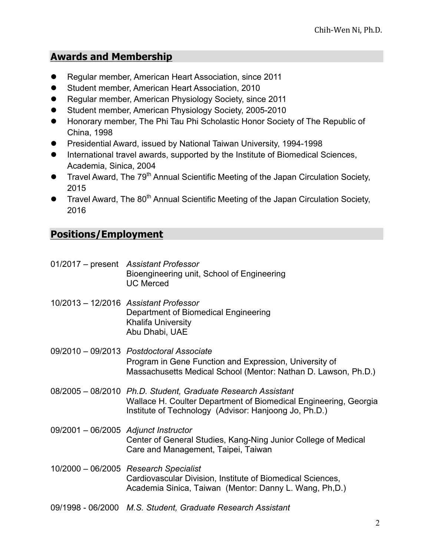# **Awards and Membership**

- Regular member, American Heart Association, since 2011
- **•** Student member, American Heart Association, 2010
- Regular member, American Physiology Society, since 2011
- Student member, American Physiology Society, 2005-2010
- **Honorary member, The Phi Tau Phi Scholastic Honor Society of The Republic of** China, 1998
- **•** Presidential Award, issued by National Taiwan University, 1994-1998
- **•** International travel awards, supported by the Institute of Biomedical Sciences, Academia, Sinica, 2004
- **Travel Award, The 79<sup>th</sup> Annual Scientific Meeting of the Japan Circulation Society,** 2015
- **Travel Award, The 80<sup>th</sup> Annual Scientific Meeting of the Japan Circulation Society,** 2016

# **Positions/Employment**

01/2017 – present *Assistant Professor* Bioengineering unit, School of Engineering UC Merced 10/2013 – 12/2016 *Assistant Professor* Department of Biomedical Engineering Khalifa University Abu Dhabi, UAE 09/2010 – 09/2013 *Postdoctoral Associate* Program in Gene Function and Expression, University of Massachusetts Medical School (Mentor: Nathan D. Lawson, Ph.D.) 08/2005 – 08/2010 *Ph.D. Student, Graduate Research Assistant* Wallace H. Coulter Department of Biomedical Engineering, Georgia Institute of Technology (Advisor: Hanjoong Jo, Ph.D.) 09/2001 – 06/2005 *Adjunct Instructor* Center of General Studies, Kang-Ning Junior College of Medical Care and Management, Taipei, Taiwan 10/2000 – 06/2005 *Research Specialist* Cardiovascular Division, Institute of Biomedical Sciences, Academia Sinica, Taiwan (Mentor: Danny L. Wang, Ph,D.) 09/1998 - 06/2000 *M.S. Student, Graduate Research Assistant*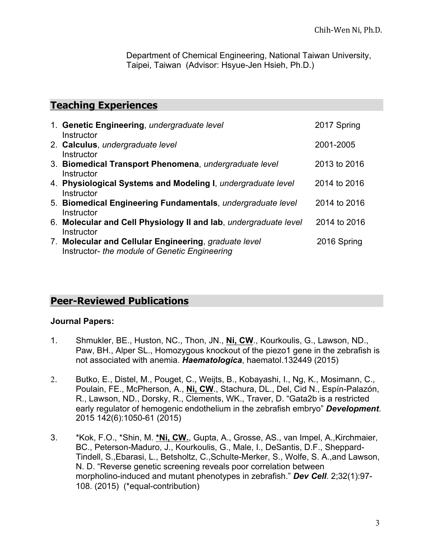Department of Chemical Engineering, National Taiwan University, Taipei, Taiwan (Advisor: Hsyue-Jen Hsieh, Ph.D.)

## **Teaching Experiences**

| 1. Genetic Engineering, undergraduate level<br>Instructor                                                            | 2017 Spring  |
|----------------------------------------------------------------------------------------------------------------------|--------------|
| 2. Calculus, undergraduate level<br>Instructor                                                                       | 2001-2005    |
| 3. Biomedical Transport Phenomena, undergraduate level<br>Instructor                                                 | 2013 to 2016 |
| 4. Physiological Systems and Modeling I, undergraduate level<br>Instructor                                           | 2014 to 2016 |
| 5. Biomedical Engineering Fundamentals, undergraduate level                                                          | 2014 to 2016 |
| Instructor<br>6. Molecular and Cell Physiology II and lab, undergraduate level                                       | 2014 to 2016 |
| Instructor<br>7. Molecular and Cellular Engineering, graduate level<br>Instructor- the module of Genetic Engineering | 2016 Spring  |

# **Peer-Reviewed Publications**

#### **Journal Papers:**

- 1. Shmukler, BE., Huston, NC., Thon, JN., **Ni, CW**., Kourkoulis, G., Lawson, ND., Paw, BH., Alper SL., Homozygous knockout of the piezo1 gene in the zebrafish is not associated with anemia. *Haematologica*, haematol.132449 (2015)
- 2. Butko, E., Distel, M., Pouget, C., Weijts, B., Kobayashi, I., Ng, K., Mosimann, C., Poulain, FE., McPherson, A., **Ni, CW**., Stachura, DL., Del, Cid N., Espín-Palazón, R., Lawson, ND., Dorsky, R., Clements, WK., Traver, D. "Gata2b is a restricted early regulator of hemogenic endothelium in the zebrafish embryo" *Development*. 2015 142(6):1050-61 (2015)
- 3. \*Kok, F.O., \*Shin, M. **\*Ni, CW.**, Gupta, A., Grosse, AS., van Impel, A.,Kirchmaier, BC., Peterson-Maduro, J., Kourkoulis, G., Male, I., DeSantis, D.F., Sheppard-Tindell, S.,Ebarasi, L., Betsholtz, C.,Schulte-Merker, S., Wolfe, S. A.,and Lawson, N. D. "Reverse genetic screening reveals poor correlation between morpholino-induced and mutant phenotypes in zebrafish." *Dev Cell*. 2;32(1):97- 108. (2015) (\*equal-contribution)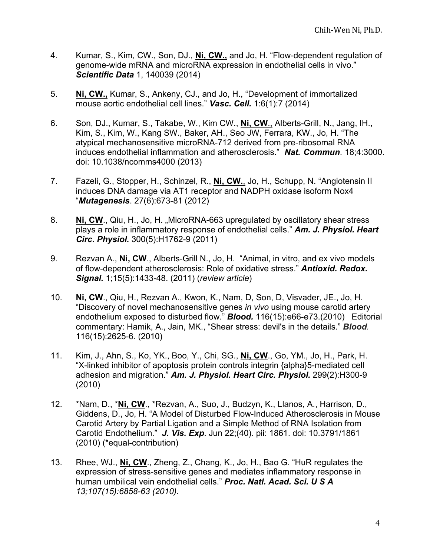- 4. Kumar, S., Kim, CW., Son, DJ., **Ni, CW.,** and Jo, H. "Flow-dependent regulation of genome-wide mRNA and microRNA expression in endothelial cells in vivo." *Scientific Data* 1, 140039 (2014)
- 5. **Ni, CW.,** Kumar, S., Ankeny, CJ., and Jo, H., "Development of immortalized mouse aortic endothelial cell lines." *Vasc. Cell.* 1:6(1):7 (2014)
- 6. Son, DJ., Kumar, S., Takabe, W., Kim CW., **Ni, CW**., Alberts-Grill, N., Jang, IH., Kim, S., Kim, W., Kang SW., Baker, AH., Seo JW, Ferrara, KW., Jo, H. "The atypical mechanosensitive microRNA-712 derived from pre-ribosomal RNA induces endothelial inflammation and atherosclerosis." *Nat. Commun*. 18;4:3000. doi: 10.1038/ncomms4000 (2013)
- 7. Fazeli, G., Stopper, H., Schinzel, R., **Ni, CW.**, Jo, H., Schupp, N. "Angiotensin II induces DNA damage via AT1 receptor and NADPH oxidase isoform Nox4 "*Mutagenesis*. 27(6):673-81 (2012)
- 8. **Ni, CW., Qiu, H., Jo, H., MicroRNA-663 upregulated by oscillatory shear stress** plays a role in inflammatory response of endothelial cells." *Am. J. Physiol. Heart Circ. Physiol.* 300(5):H1762-9 (2011)
- 9. Rezvan A., **Ni, CW**., Alberts-Grill N., Jo, H. "Animal, in vitro, and ex vivo models of flow-dependent atherosclerosis: Role of oxidative stress." *Antioxid. Redox. Signal.* 1;15(5):1433-48. (2011) (*review article*)
- 10. **Ni, CW**., Qiu, H., Rezvan A., Kwon, K., Nam, D, Son, D, Visvader, JE., Jo, H. "Discovery of novel mechanosensitive genes *in vivo* using mouse carotid artery endothelium exposed to disturbed flow." *Blood.* 116(15):e66-e73.(2010) Editorial commentary: Hamik, A., Jain, MK., "Shear stress: devil's in the details." *Blood.* 116(15):2625-6. (2010)
- 11. Kim, J., Ahn, S., Ko, YK., Boo, Y., Chi, SG., **Ni, CW**., Go, YM., Jo, H., Park, H. "X-linked inhibitor of apoptosis protein controls integrin {alpha}5-mediated cell adhesion and migration." *Am. J. Physiol. Heart Circ. Physiol.* 299(2):H300-9 (2010)
- 12. \*Nam, D., \***Ni, CW**., \*Rezvan, A., Suo, J., Budzyn, K., Llanos, A., Harrison, D., Giddens, D., Jo, H. "A Model of Disturbed Flow-Induced Atherosclerosis in Mouse Carotid Artery by Partial Ligation and a Simple Method of RNA Isolation from Carotid Endothelium." *J. Vis. Exp*. Jun 22;(40). pii: 1861. doi: 10.3791/1861 (2010) (\*equal-contribution)
- 13. Rhee, WJ., **Ni, CW**., Zheng, Z., Chang, K., Jo, H., Bao G. "HuR regulates the expression of stress-sensitive genes and mediates inflammatory response in human umbilical vein endothelial cells." *Proc. Natl. Acad. Sci. U S A 13;107(15):6858-63 (2010).*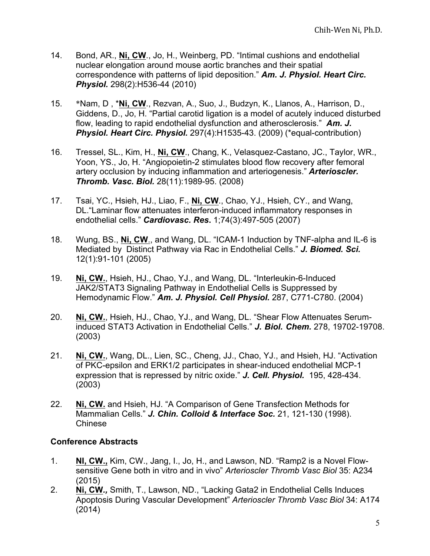- 14. Bond, AR., **Ni, CW**., Jo, H., Weinberg, PD. "Intimal cushions and endothelial nuclear elongation around mouse aortic branches and their spatial correspondence with patterns of lipid deposition." *Am. J. Physiol. Heart Circ. Physiol.* 298(2):H536-44 (2010)
- 15. \*Nam, D , \***Ni, CW**., Rezvan, A., Suo, J., Budzyn, K., Llanos, A., Harrison, D., Giddens, D., Jo, H. "Partial carotid ligation is a model of acutely induced disturbed flow, leading to rapid endothelial dysfunction and atherosclerosis." *Am. J. Physiol. Heart Circ. Physiol.* 297(4):H1535-43. (2009) (\*equal-contribution)
- 16. Tressel, SL., Kim, H., **Ni, CW**., Chang, K., Velasquez-Castano, JC., Taylor, WR., Yoon, YS., Jo, H. "Angiopoietin-2 stimulates blood flow recovery after femoral artery occlusion by inducing inflammation and arteriogenesis." *Arterioscler. Thromb. Vasc. Biol.* 28(11):1989-95. (2008)
- 17. Tsai, YC., Hsieh, HJ., Liao, F., **Ni, CW**., Chao, YJ., Hsieh, CY., and Wang, DL."Laminar flow attenuates interferon-induced inflammatory responses in endothelial cells." *Cardiovasc. Res***.** 1;74(3):497-505 (2007)
- 18. Wung, BS., **Ni, CW**., and Wang, DL. "ICAM-1 Induction by TNF-alpha and IL-6 is Mediated by Distinct Pathway via Rac in Endothelial Cells." *J. Biomed. Sci.* 12(1):91-101 (2005)
- 19. **Ni, CW.**, Hsieh, HJ., Chao, YJ., and Wang, DL. "Interleukin-6-Induced JAK2/STAT3 Signaling Pathway in Endothelial Cells is Suppressed by Hemodynamic Flow." *Am. J. Physiol. Cell Physiol.* 287, C771-C780. (2004)
- 20. **Ni, CW.**, Hsieh, HJ., Chao, YJ., and Wang, DL. "Shear Flow Attenuates Seruminduced STAT3 Activation in Endothelial Cells." *J. Biol. Chem.* 278, 19702-19708. (2003)
- 21. **Ni, CW.**, Wang, DL., Lien, SC., Cheng, JJ., Chao, YJ., and Hsieh, HJ. "Activation of PKC-epsilon and ERK1/2 participates in shear-induced endothelial MCP-1 expression that is repressed by nitric oxide." *J. Cell. Physiol.* 195, 428-434. (2003)
- 22. **Ni, CW.** and Hsieh, HJ. "A Comparison of Gene Transfection Methods for Mammalian Cells." *J. Chin. Colloid & Interface Soc.* 21, 121-130 (1998). Chinese

#### **Conference Abstracts**

- 1. **NI, CW.,** Kim, CW., Jang, I., Jo, H., and Lawson, ND. "Ramp2 is a Novel Flowsensitive Gene both in vitro and in vivo" *Arterioscler Thromb Vasc Biol* 35: A234 (2015)
- 2. **Ni, CW***.,* Smith, T., Lawson, ND., "Lacking Gata2 in Endothelial Cells Induces Apoptosis During Vascular Development" *Arterioscler Thromb Vasc Biol* 34: A174 (2014)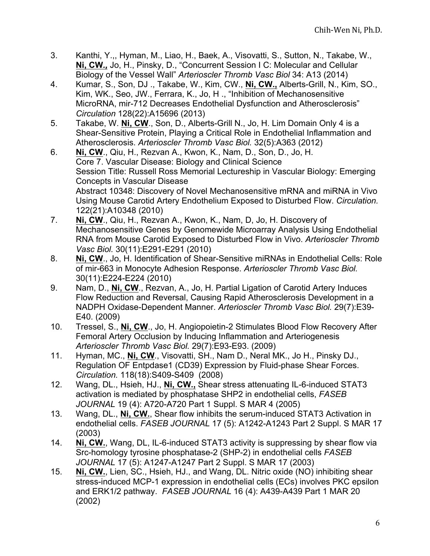- 3. Kanthi, Y.,, Hyman, M., Liao, H., Baek, A., Visovatti, S., Sutton, N., Takabe, W., **Ni, CW***.,* Jo, H., Pinsky, D., "Concurrent Session I C: Molecular and Cellular Biology of the Vessel Wall" *Arterioscler Thromb Vasc Biol* 34: A13 (2014)
- 4. Kumar, S., Son, DJ ., Takabe, W., Kim, CW., **Ni, CW.,** Alberts-Grill, N., Kim, SO., Kim, WK., Seo, JW., Ferrara, K., Jo, H ., "Inhibition of Mechanosensitive MicroRNA, mir-712 Decreases Endothelial Dysfunction and Atherosclerosis" *Circulation* 128(22):A15696 (2013)
- 5. Takabe, W. **Ni, CW**., Son, D., Alberts-Grill N., Jo, H. Lim Domain Only 4 is a Shear-Sensitive Protein, Playing a Critical Role in Endothelial Inflammation and Atherosclerosis. *Arterioscler Thromb Vasc Biol.* 32(5):A363 (2012)
- 6. **Ni, CW**., Qiu, H., Rezvan A., Kwon, K., Nam, D., Son, D., Jo, H. Core 7. Vascular Disease: Biology and Clinical Science Session Title: Russell Ross Memorial Lectureship in Vascular Biology: Emerging Concepts in Vascular Disease Abstract 10348: Discovery of Novel Mechanosensitive mRNA and miRNA in Vivo Using Mouse Carotid Artery Endothelium Exposed to Disturbed Flow. *Circulation.*  122(21):A10348 (2010)
- 7. **Ni, CW**., Qiu, H., Rezvan A., Kwon, K., Nam, D, Jo, H. Discovery of Mechanosensitive Genes by Genomewide Microarray Analysis Using Endothelial RNA from Mouse Carotid Exposed to Disturbed Flow in Vivo. *Arterioscler Thromb Vasc Biol.* 30(11):E291-E291 (2010)
- 8. **Ni, CW**., Jo, H. Identification of Shear-Sensitive miRNAs in Endothelial Cells: Role of mir-663 in Monocyte Adhesion Response. *Arterioscler Thromb Vasc Biol.* 30(11):E224-E224 (2010)
- 9. Nam, D., **Ni, CW**., Rezvan, A., Jo, H. Partial Ligation of Carotid Artery Induces Flow Reduction and Reversal, Causing Rapid Atherosclerosis Development in a NADPH Oxidase-Dependent Manner. *Arterioscler Thromb Vasc Biol.* 29(7):E39- E40. (2009)
- 10. Tressel, S., **Ni, CW**., Jo, H. Angiopoietin-2 Stimulates Blood Flow Recovery After Femoral Artery Occlusion by Inducing Inflammation and Arteriogenesis *Arterioscler Thromb Vasc Biol.* 29(7):E93-E93. (2009)
- 11. Hyman, MC., **Ni, CW**., Visovatti, SH., Nam D., Neral MK., Jo H., Pinsky DJ., Regulation OF Entpdase1 (CD39) Expression by Fluid-phase Shear Forces. *Circulation.* 118(18):S409-S409 (2008)
- 12. Wang, DL., Hsieh, HJ., **Ni, CW.,** Shear stress attenuating IL-6-induced STAT3 activation is mediated by phosphatase SHP2 in endothelial cells, *FASEB JOURNAL* 19 (4): A720-A720 Part 1 Suppl. S MAR 4 (2005)
- 13. Wang, DL., **Ni, CW.**, Shear flow inhibits the serum-induced STAT3 Activation in endothelial cells. *FASEB JOURNAL* 17 (5): A1242-A1243 Part 2 Suppl. S MAR 17 (2003)
- 14. **Ni, CW.**, Wang, DL, IL-6-induced STAT3 activity is suppressing by shear flow via Src-homology tyrosine phosphatase-2 (SHP-2) in endothelial cells *FASEB JOURNAL* 17 (5): A1247-A1247 Part 2 Suppl. S MAR 17 (2003)
- 15. **Ni, CW.**, Lien, SC., Hsieh, HJ., and Wang, DL. Nitric oxide (NO) inhibiting shear stress-induced MCP-1 expression in endothelial cells (ECs) involves PKC epsilon and ERK1/2 pathway. *FASEB JOURNAL* 16 (4): A439-A439 Part 1 MAR 20 (2002)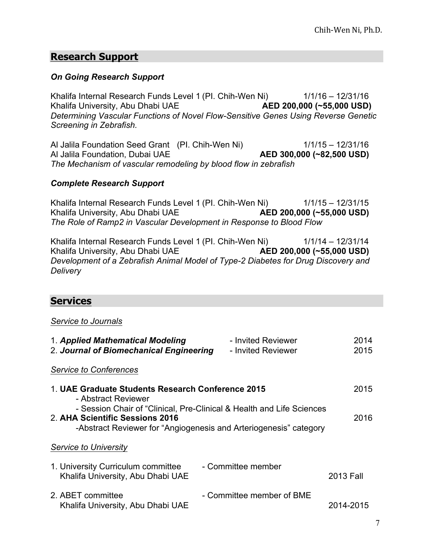# **Research Support**

#### *On Going Research Support*

Khalifa Internal Research Funds Level 1 (PI. Chih-Wen Ni) 1/1/16 - 12/31/16 Khalifa University, Abu Dhabi UAE **AED 200,000 (~55,000 USD)** *Determining Vascular Functions of Novel Flow-Sensitive Genes Using Reverse Genetic Screening in Zebrafish.*

Al Jalila Foundation Seed Grant (PI. Chih-Wen Ni) 1/1/15 – 12/31/16 Al Jalila Foundation, Dubai UAE **AED 300,000 (~82,500 USD)** *The Mechanism of vascular remodeling by blood flow in zebrafish*

#### *Complete Research Support*

Khalifa Internal Research Funds Level 1 (PI. Chih-Wen Ni) 1/1/15 – 12/31/15 Khalifa University, Abu Dhabi UAE **AED 200,000 (~55,000 USD)** *The Role of Ramp2 in Vascular Development in Response to Blood Flow*

Khalifa Internal Research Funds Level 1 (PI. Chih-Wen Ni) 1/1/14 - 12/31/14 Khalifa University, Abu Dhabi UAE **AED 200,000 (~55,000 USD)** *Development of a Zebrafish Animal Model of Type-2 Diabetes for Drug Discovery and Delivery*

## **Services**

#### *Service to Journals*

| 1. Applied Mathematical Modeling<br>2. Journal of Biomechanical Engineering | - Invited Reviewer<br>- Invited Reviewer                                                                                                   | 2014<br>2015 |
|-----------------------------------------------------------------------------|--------------------------------------------------------------------------------------------------------------------------------------------|--------------|
| <b>Service to Conferences</b>                                               |                                                                                                                                            |              |
| 1. UAE Graduate Students Research Conference 2015<br>- Abstract Reviewer    |                                                                                                                                            | 2015         |
| 2. AHA Scientific Sessions 2016                                             | - Session Chair of "Clinical, Pre-Clinical & Health and Life Sciences<br>-Abstract Reviewer for "Angiogenesis and Arteriogenesis" category | 2016         |
| Service to University                                                       |                                                                                                                                            |              |
| 1. University Curriculum committee<br>Khalifa University, Abu Dhabi UAE     | - Committee member                                                                                                                         | 2013 Fall    |
| 2. ABET committee<br>Khalifa University, Abu Dhabi UAE                      | - Committee member of BME                                                                                                                  | 2014-2015    |